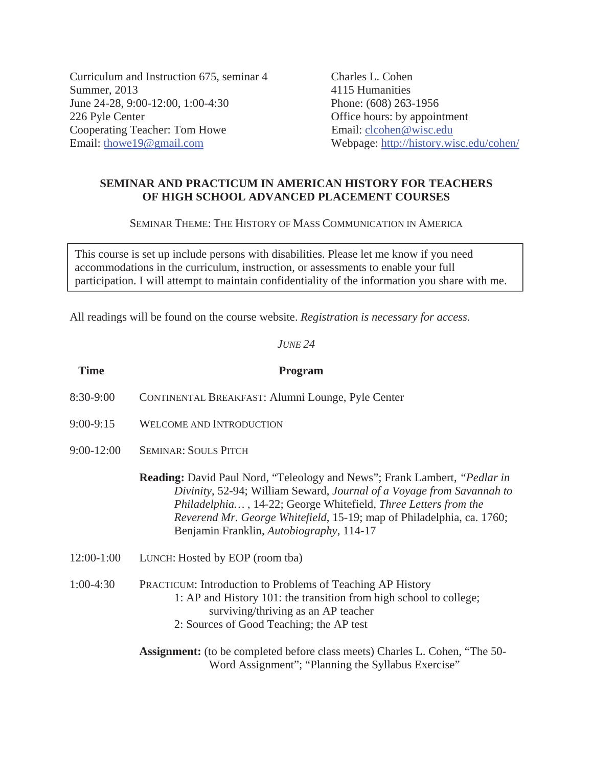Curriculum and Instruction 675, seminar 4 Charles L. Cohen Summer, 2013 4115 Humanities June 24-28, 9:00-12:00, 1:00-4:30 Phone: (608) 263-1956 226 Pyle Center **Office hours:** by appointment Cooperating Teacher: Tom Howe Email: clcohen@wisc.edu Email: thowe19@gmail.com Webpage: http://history.wisc.edu/cohen/

## **SEMINAR AND PRACTICUM IN AMERICAN HISTORY FOR TEACHERS OF HIGH SCHOOL ADVANCED PLACEMENT COURSES**

SEMINAR THEME: THE HISTORY OF MASS COMMUNICATION IN AMERICA

This course is set up include persons with disabilities. Please let me know if you need accommodations in the curriculum, instruction, or assessments to enable your full participation. I will attempt to maintain confidentiality of the information you share with me.

All readings will be found on the course website. *Registration is necessary for access*.

### *JUNE 24*

| <b>Time</b>    | Program                                                                                                                                                                                                                                                                                                                                                  |
|----------------|----------------------------------------------------------------------------------------------------------------------------------------------------------------------------------------------------------------------------------------------------------------------------------------------------------------------------------------------------------|
| 8:30-9:00      | CONTINENTAL BREAKFAST: Alumni Lounge, Pyle Center                                                                                                                                                                                                                                                                                                        |
| $9:00-9:15$    | <b>WELCOME AND INTRODUCTION</b>                                                                                                                                                                                                                                                                                                                          |
| $9:00 - 12:00$ | <b>SEMINAR: SOULS PITCH</b>                                                                                                                                                                                                                                                                                                                              |
|                | <b>Reading:</b> David Paul Nord, "Teleology and News"; Frank Lambert, " <i>Pedlar in</i><br>Divinity, 52-94; William Seward, Journal of a Voyage from Savannah to<br>Philadelphia, 14-22; George Whitefield, Three Letters from the<br>Reverend Mr. George Whitefield, 15-19; map of Philadelphia, ca. 1760;<br>Benjamin Franklin, Autobiography, 114-17 |
| $12:00-1:00$   | LUNCH: Hosted by EOP (room tba)                                                                                                                                                                                                                                                                                                                          |
| $1:00-4:30$    | <b>PRACTICUM:</b> Introduction to Problems of Teaching AP History<br>1: AP and History 101: the transition from high school to college;<br>surviving/thriving as an AP teacher<br>2: Sources of Good Teaching; the AP test                                                                                                                               |
|                | <b>Assignment:</b> (to be completed before class meets) Charles L. Cohen, "The 50-<br>Word Assignment"; "Planning the Syllabus Exercise"                                                                                                                                                                                                                 |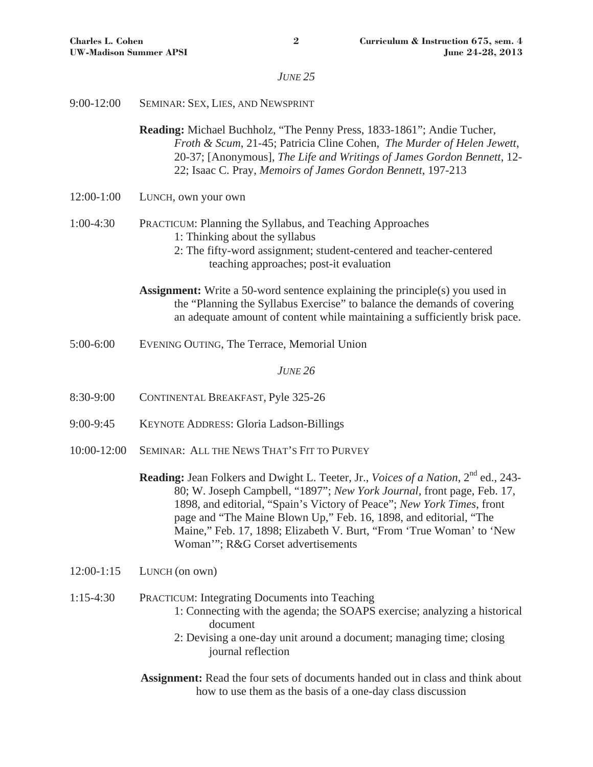# *JUNE 25*

| $9:00 - 12:00$ | SEMINAR: SEX, LIES, AND NEWSPRINT                                                                                                                                                                                                                                                                                                                                                                                                            |
|----------------|----------------------------------------------------------------------------------------------------------------------------------------------------------------------------------------------------------------------------------------------------------------------------------------------------------------------------------------------------------------------------------------------------------------------------------------------|
|                | Reading: Michael Buchholz, "The Penny Press, 1833-1861"; Andie Tucher,<br>Froth & Scum, 21-45; Patricia Cline Cohen, The Murder of Helen Jewett,<br>20-37; [Anonymous], The Life and Writings of James Gordon Bennett, 12-<br>22; Isaac C. Pray, Memoirs of James Gordon Bennett, 197-213                                                                                                                                                    |
| 12:00-1:00     | LUNCH, own your own                                                                                                                                                                                                                                                                                                                                                                                                                          |
| $1:00-4:30$    | PRACTICUM: Planning the Syllabus, and Teaching Approaches<br>1: Thinking about the syllabus<br>2: The fifty-word assignment; student-centered and teacher-centered<br>teaching approaches; post-it evaluation                                                                                                                                                                                                                                |
|                | <b>Assignment:</b> Write a 50-word sentence explaining the principle(s) you used in<br>the "Planning the Syllabus Exercise" to balance the demands of covering<br>an adequate amount of content while maintaining a sufficiently brisk pace.                                                                                                                                                                                                 |
| 5:00-6:00      | EVENING OUTING, The Terrace, Memorial Union                                                                                                                                                                                                                                                                                                                                                                                                  |
|                | <b>JUNE 26</b>                                                                                                                                                                                                                                                                                                                                                                                                                               |
| 8:30-9:00      | CONTINENTAL BREAKFAST, Pyle 325-26                                                                                                                                                                                                                                                                                                                                                                                                           |
| $9:00-9:45$    | <b>KEYNOTE ADDRESS: Gloria Ladson-Billings</b>                                                                                                                                                                                                                                                                                                                                                                                               |
| 10:00-12:00    | SEMINAR: ALL THE NEWS THAT'S FIT TO PURVEY                                                                                                                                                                                                                                                                                                                                                                                                   |
|                | <b>Reading:</b> Jean Folkers and Dwight L. Teeter, Jr., Voices of a Nation, 2 <sup>nd</sup> ed., 243-<br>80; W. Joseph Campbell, "1897"; New York Journal, front page, Feb. 17,<br>1898, and editorial, "Spain's Victory of Peace"; New York Times, front<br>page and "The Maine Blown Up," Feb. 16, 1898, and editorial, "The<br>Maine," Feb. 17, 1898; Elizabeth V. Burt, "From 'True Woman' to 'New<br>Woman""; R&G Corset advertisements |
| $12:00-1:15$   | LUNCH (on own)                                                                                                                                                                                                                                                                                                                                                                                                                               |
| $1:15-4:30$    | <b>PRACTICUM: Integrating Documents into Teaching</b><br>1: Connecting with the agenda; the SOAPS exercise; analyzing a historical<br>document<br>2: Devising a one-day unit around a document; managing time; closing<br>journal reflection                                                                                                                                                                                                 |
|                | <b>Assignment:</b> Read the four sets of documents handed out in class and think about<br>how to use them as the basis of a one-day class discussion                                                                                                                                                                                                                                                                                         |